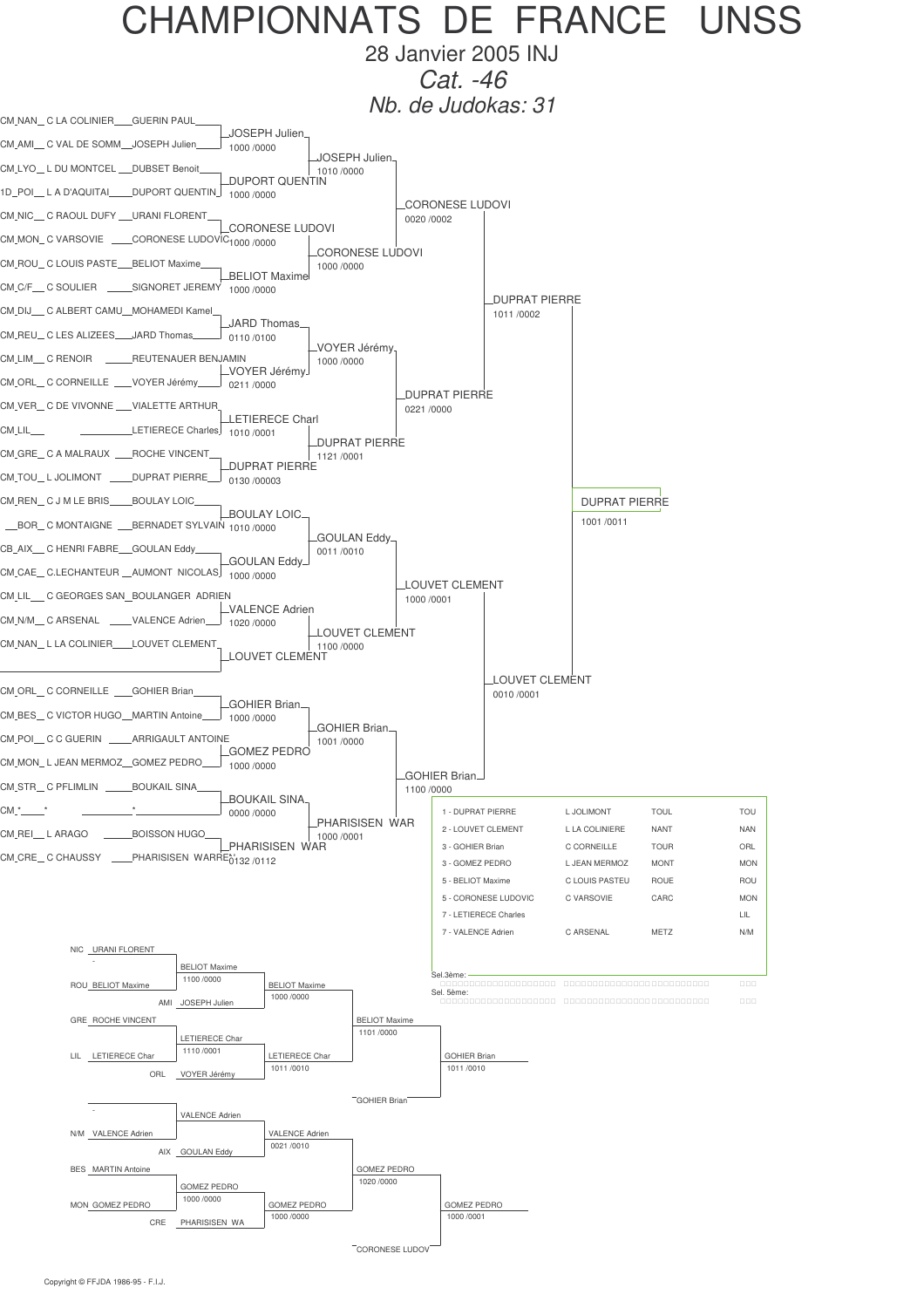

28 Janvier 2005 INJ *Cat. -46*

*Nb. de Judokas: 31*

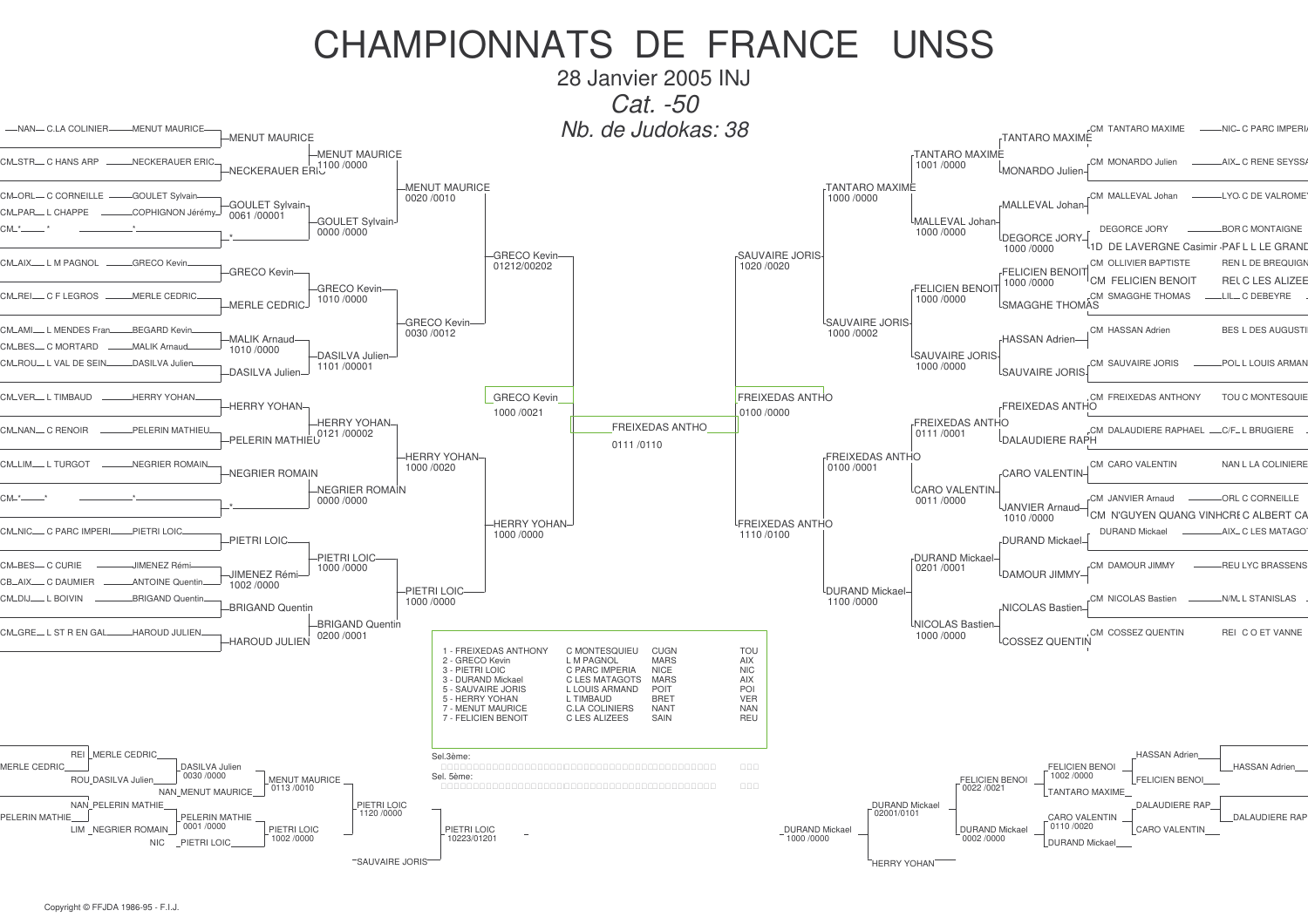28 Janvier 2005 INJ *Cat. -50*

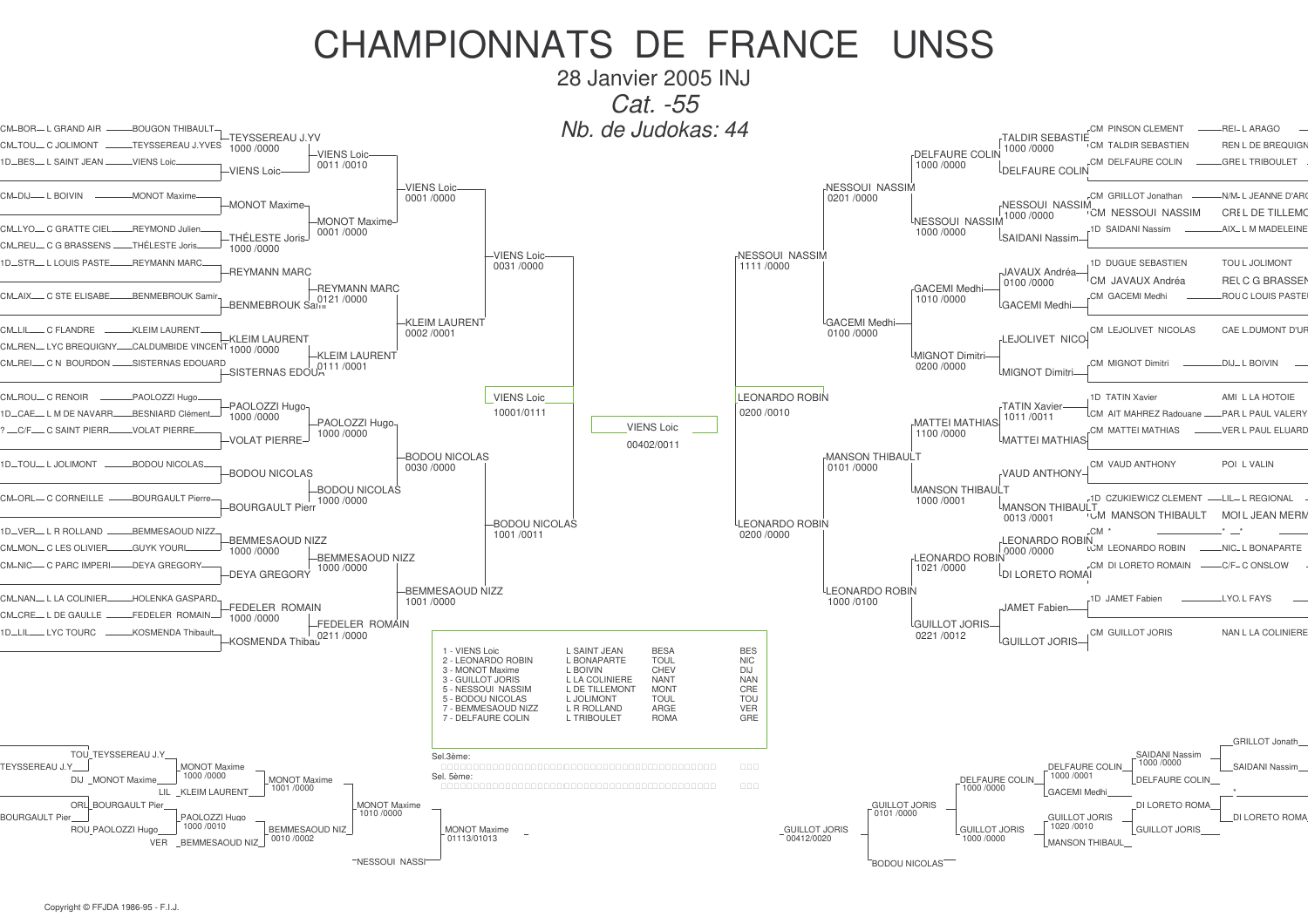28 Janvier 2005 INJ Cat. -55 Nb. de Judokas: 44 -REI-LARAGO CM-BOR- L GRAND AIR **BOUGON THIBAULT CM PINSON CLEMENT** -TEYSSEREAU J YV TAI DIR SFRASTIF TEYSSEREAU J.YVES **LCM TALDIR SEBASTIEN** -REN L DE BREQUIGN 1000/0000 1000/0000 -VIENS Loic-**DELFAURE COLIN** GREL TRIBOLILET ID RES I SAINT JEAN VIENS Loi CM DELEAURE COUN 1000/0000 0011/0010 **LDEL FAURE COLIN** VIENS Loi NESSOUI NASSIM **VIENS Loic-**MONOT Mayim CM GRILLOT Jonathar  $NN/M$ . I JEANNE D'AR 0201/0000 0001/0000 -MONOT Maxime NESSOUL NASSIN ".<br>"CM NESSOLII NASSIM  $-CRI$  I DE TILLEMO 1000/0000 -MONOT Maxime <sup>L</sup>NESSOUI NASSIM CM\_I YO\_C GRATTE CIFI REYMOND Julie 1D SAIDANI Nassim AIX . I M MADELEINE 1000/0000 0001/0000 SAIDANI Nassin THÉLESTE Joris THẾI ESTE Jo CM\_REU\_C G BRASSENS 1000/0000 -VIENS Loic-NESSOUI NASSIM **REYMANN MARO JD DUGUE SEBASTIEN LTOLL LIOL IMONT ID\_STR\_IIOUS PASTE** 0031 /0000  $1111/0000$ **REYMANN MARC** JAVAUX Andréa CM JAVAUX Andréa -RELC G BRASSEI 0100/0000 -REYMANN MARC **GACEMI** Medhi CM AIV C STE ELISABI RENMERROLIK San CM GACEMI Medhi **ROL C LOUIS PASTE**  $1010/0000$ 0121/0000 BENMEBROUK Salu **GACFMI Medh** KLEIM LAURENT GACEMI Medhi KLEIM LAURENT CM LEJOLIVET NICOLAS CAE L.DUMONT D'UR  $0002/0001$  $0100/0000$ **KLEIM LAURENT** LEJOLIVET NICC CALDUMBIDE VINCENT CM\_REN\_IYC BREQUIGNY. 1000 /0000 -KLEIM LAURENT MIGNOT Dimitri CM REL C.N. BOURDON SISTERNAS EDOUARD CM MIGNOT Dimitr DIJ – L BOIVIN  $.0111/0001$  $0200/0000$  $-$ SISTERNAS EDOU $\lambda$ **MIGNOT Dimitri-**PAOLOZZI Hugo **VIENS Loic LEONARDO ROBIN** -1D TATIN Xavie AMI. L LA HOTOIE -PAOLOZZI Hugo **TATIN Xavier** 10001/0111 0200 /0010 1D-CAE-L M DE NAVARR-**RESNIARD Clément** CM AIT MAHREZ Radouane PARIPALII VALERY 1000/0000 1011/0011 -PAOLOZZI Hugo-**MATTEI MATHIAS VIENS Loic** C/F C SAINT PIERR VOLAT PIERRI CM MATTEI MATHIAS VER L PAUL ELUARD 1000 /0000 1100 /0000 VOLAT PIERRE-MATTEI MATHIA 00402/0011 -BODOU NICOLAS **MANSON THIBAULT** -BODOU NICOLAS CM VAUD ANTHONY POLIVALIN 0030 /0000 0101/0000 -BODOU NICOLAS **VAUD ANTHONY** -BODOU NICOLAS MANSON THIBAULT CM-ORL- C CORNEILLE BOURGAULT Pierre -1D CZUKIEWICZ CLEMENT -LIL- L REGIONAL 1000 /0000 1000/0001 **BOURGAULT Pierr MANSON THIBAULT LUM MANSON THIRALILT** MOLL JEAN MERI 0013/0001 LEONARDO ROBIN -BODOU NICOLAS 1D-VER-L R ROLLAND **REMMESAOUD NIZZ** 0200 /0000  $C.M$ 1001/0011 -BEMMESAOUD NIZZ **LEONARDO ROBIN** LEONARDO ROBIN 7000 /0000 CM\_MON\_CIES OLIVIER **GLIVK YOLIE** LOM LEONARDO ROBIN -NIC- L BONAPARTE 1000/0000 -BEMMESAOUD NIZZ C PARC IMPER DEVA GREGORY **CM DI LORETO ROMAIN** C/E C ONSLOW 1000/0000  $1021/0000$ -DEYA GREGORY LDI LORETO ROMAI **BEMMESAOUD NIZZ** LEONARDO ROBIN CM NAN I LA COLINIER HOLENKA GASPARD -1D JAMET Fabien LYO L FAYS  $1001/0000$  $1000/0100$ **FEDELER ROMAIN** JAMET Fabien - L DE GAULLE -FEDELER ROMAIN 1000/0000 -FEDELER ROMAIN LGUILLOT JORIS-KOSMENDA Thibau CM GUILLOT JORIS NAN L LA COLINIERE 0211/0000 0221/0012 KOSMENDA Thibau **LGUILLOT JORIS** 1 - VIENS Loic L SAINT JEAN **BESA BES** 



CM\_TOLL\_C.JOLIMONT

 $CM$ -DLI $-$ I ROIVIN

C. EL ANDRE

CM-ROU-C RENOIR

**ID-TOU-LJOLIMONT** 

 $-1$  YC TOURC

 $CM$  | II

 $CMA$  NHC

 $1D \perp H$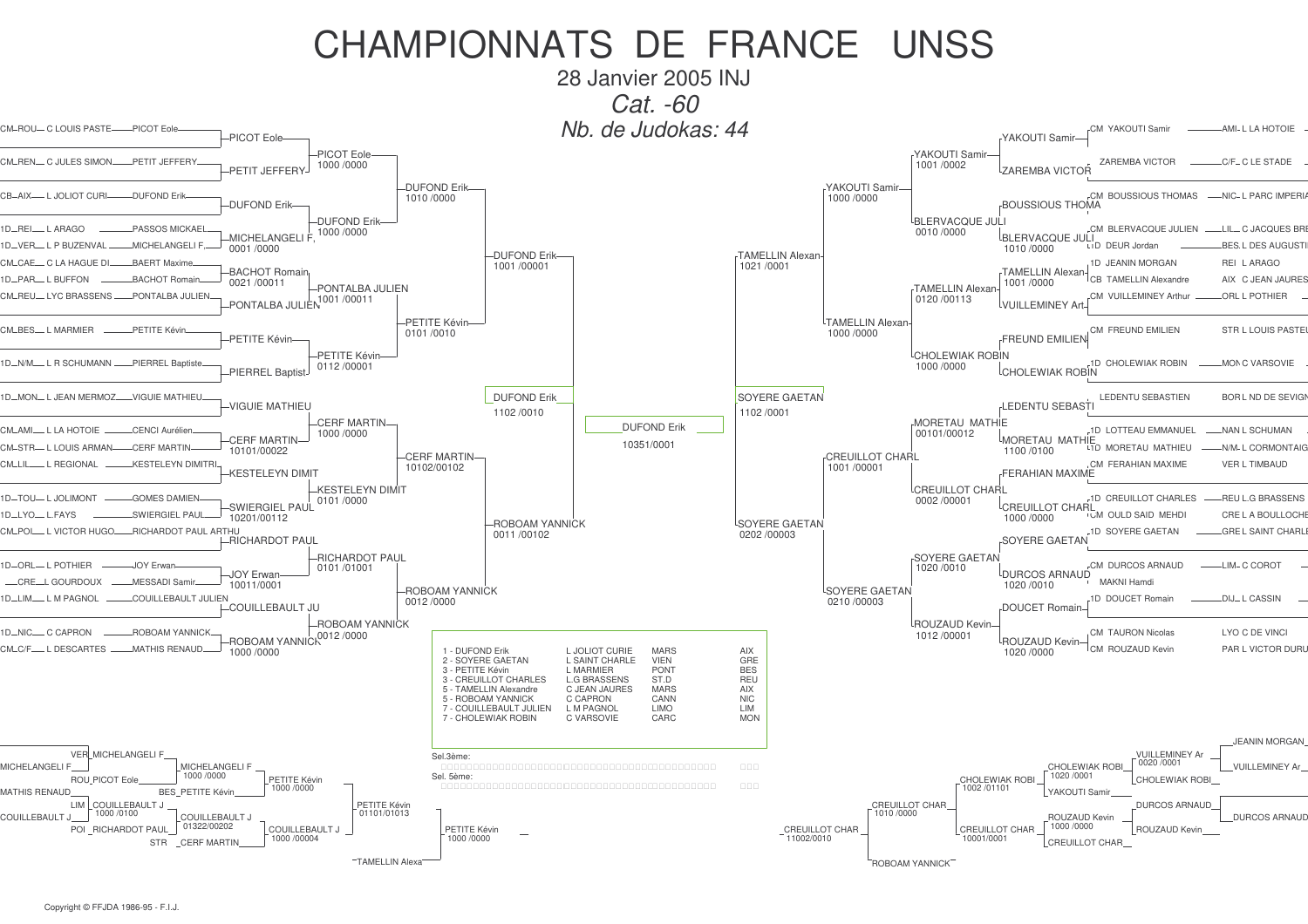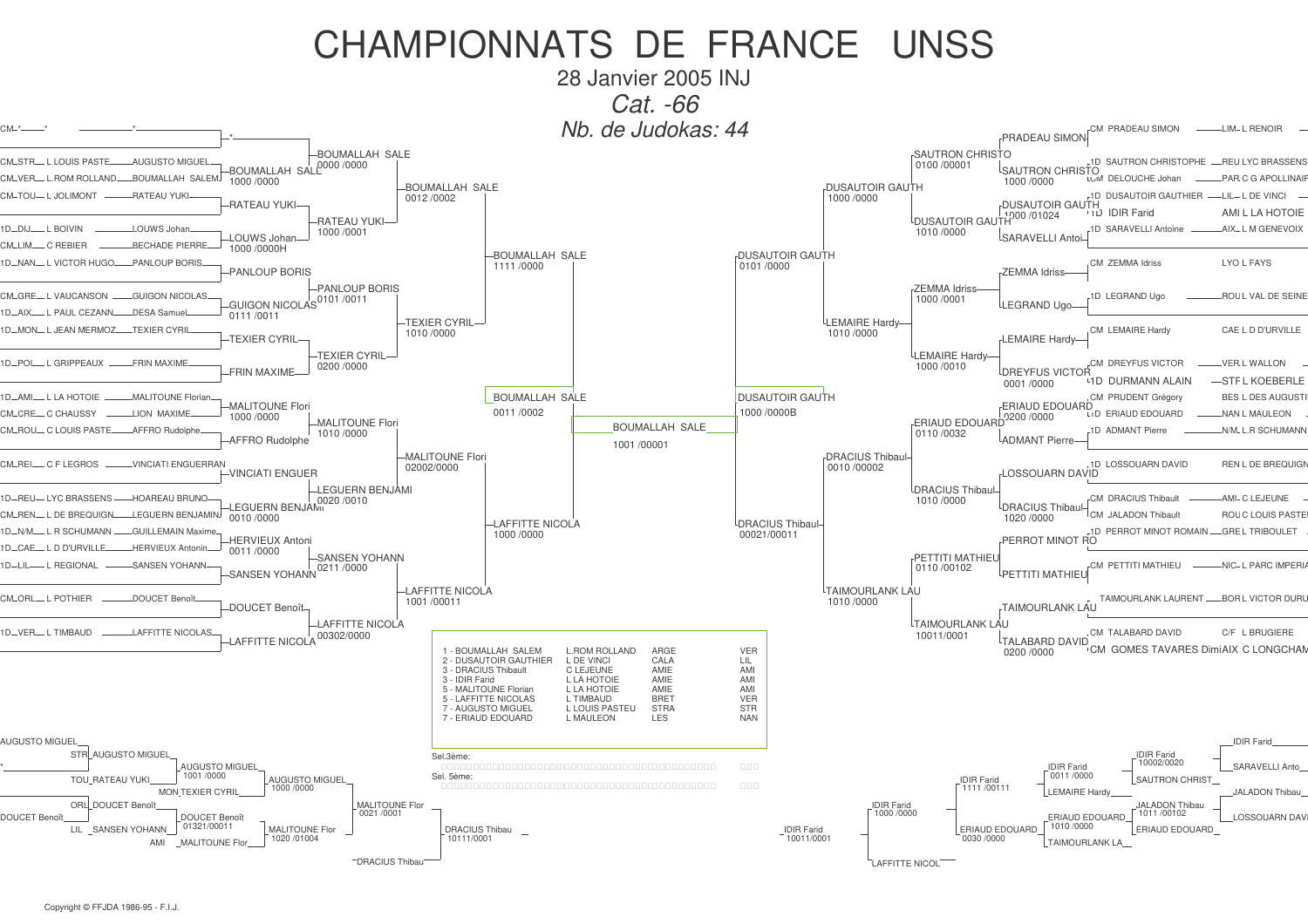28 Janvier 2005 INJ Cat. -66

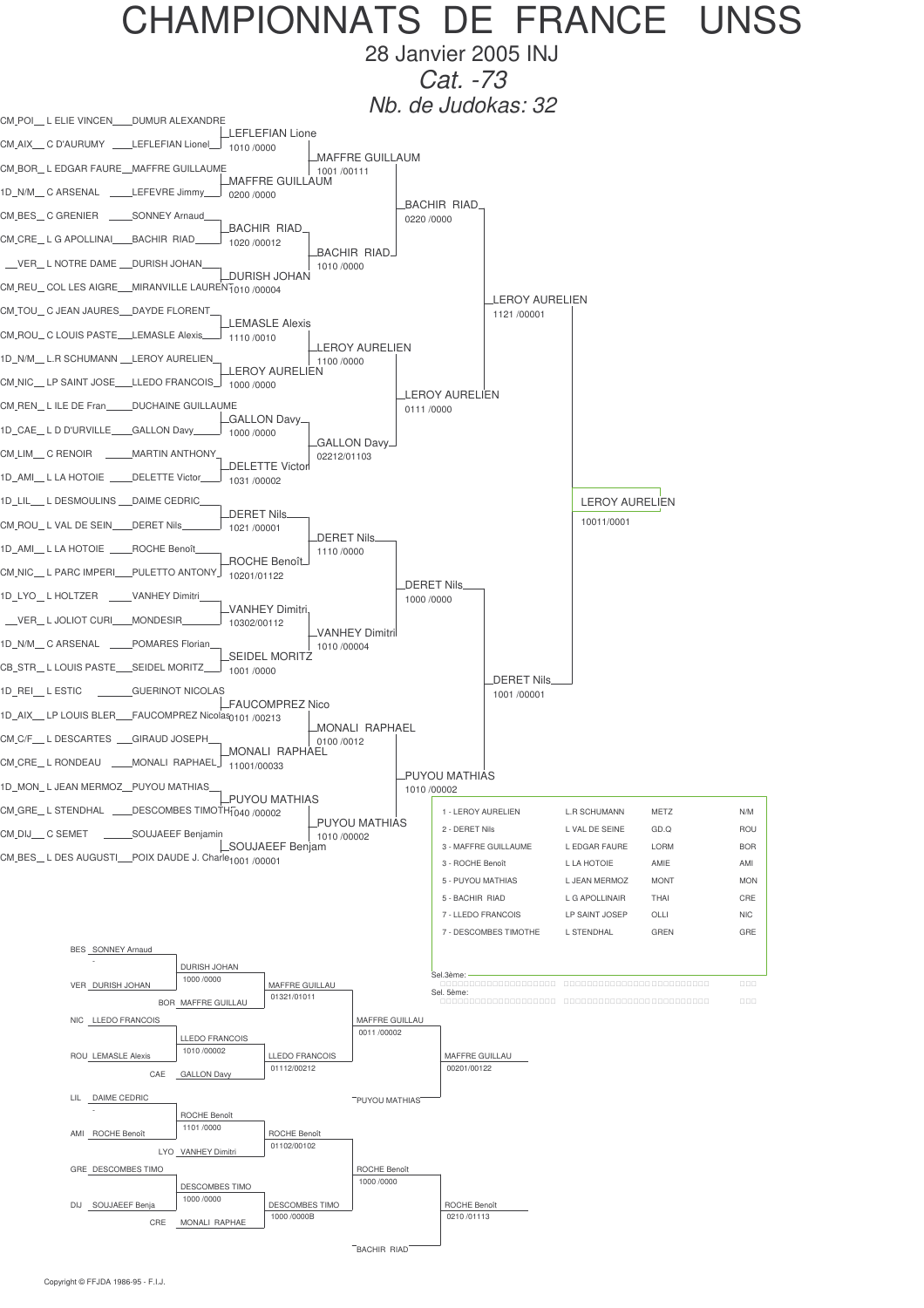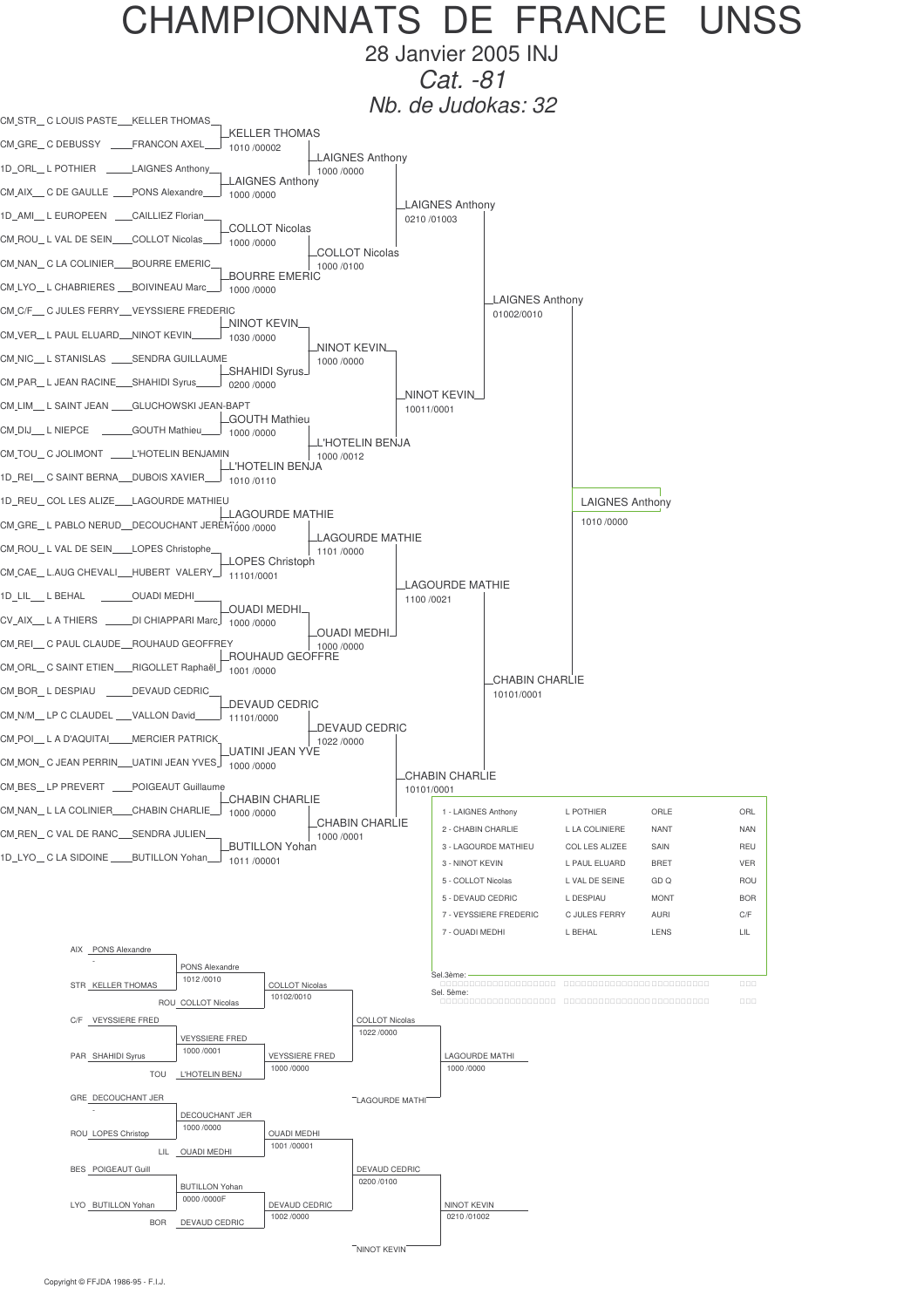

28 Janvier 2005 INJ *Cat. -81*

*Nb. de Judokas: 32*

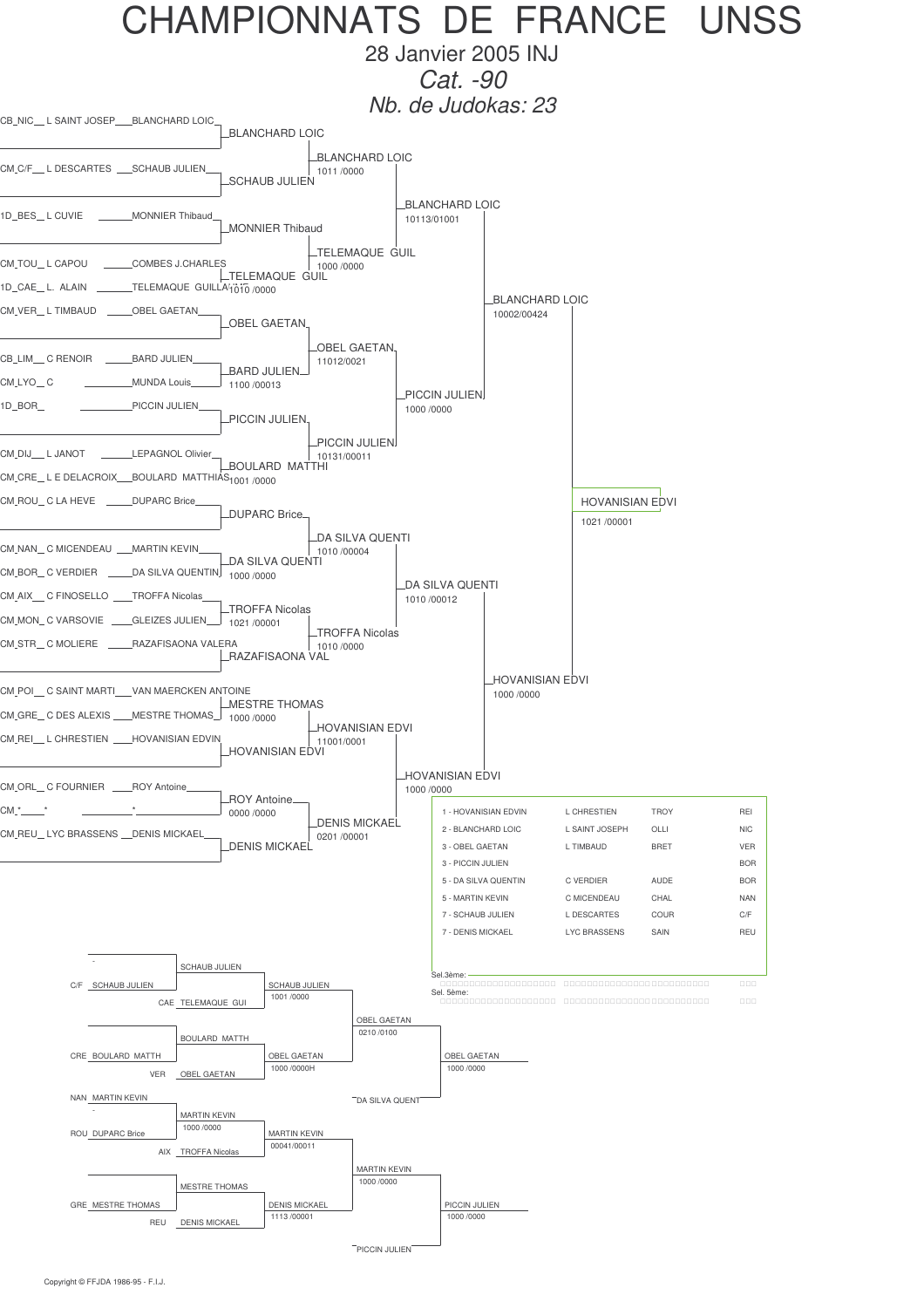